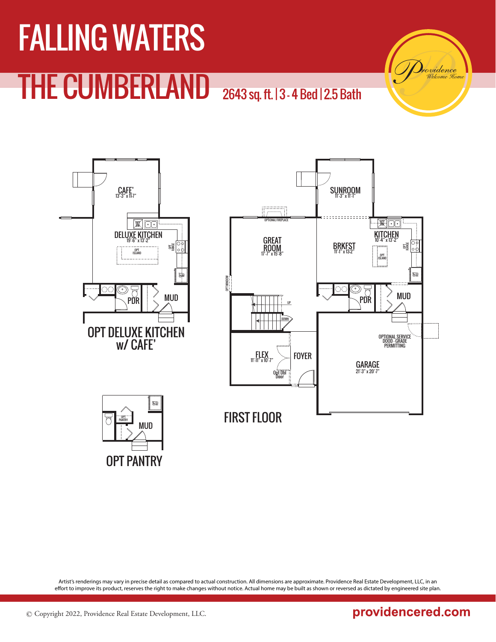



Artist's renderings may vary in precise detail as compared to actual construction. All dimensions are approximate. Providence Real Estate Development, LLC, in an effort to improve its product, reserves the right to make changes without notice. Actual home may be built as shown or reversed as dictated by engineered site plan.

### providencered.com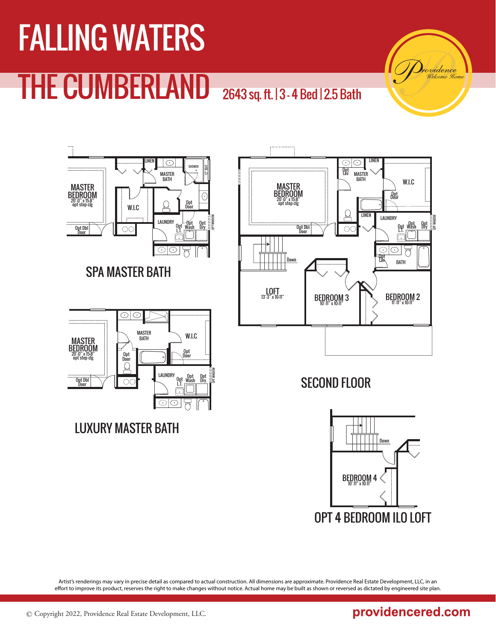## FALLING WATERS THE CUMBERLAND

2643 sq. ft. | 3 - 4 Bed | 2.5 Bath



Artist's renderings may vary in precise detail as compared to actual construction. All dimensions are approximate. Providence Real Estate Development, LLC, in an effort to improve its product, reserves the right to make changes without notice. Actual home may be built as shown or reversed as dictated by engineered site plan.

### providencered.com

rvidence Hom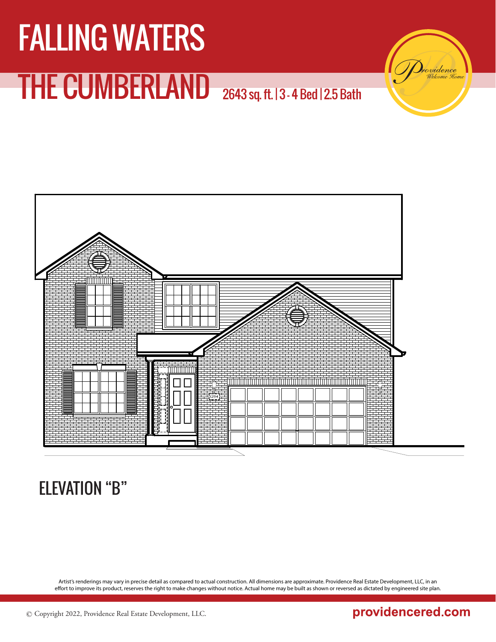

### ELEVATION "B"

Artist's renderings may vary in precise detail as compared to actual construction. All dimensions are approximate. Providence Real Estate Development, LLC, in an effort to improve its product, reserves the right to make changes without notice. Actual home may be built as shown or reversed as dictated by engineered site plan.

### providencered.com

vidence Hom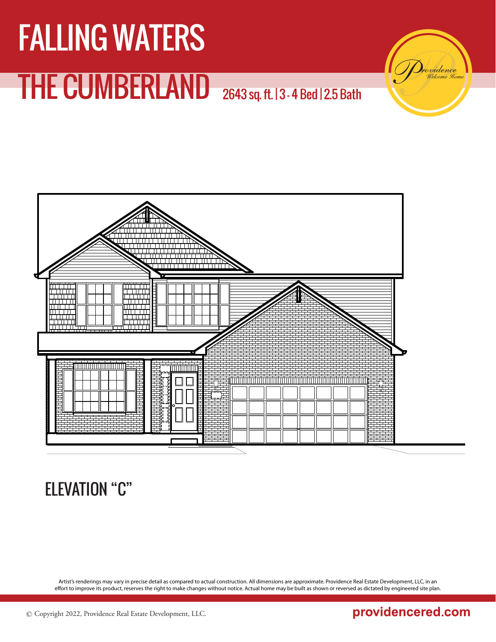

### ELEVATION "C"

Artist's renderings may vary in precise detail as compared to actual construction. All dimensions are approximate. Providence Real Estate Development, LLC, in an effort to improve its product, reserves the right to make changes without notice. Actual home may be built as shown or reversed as dictated by engineered site plan.

### providencered.com

vidence Hom